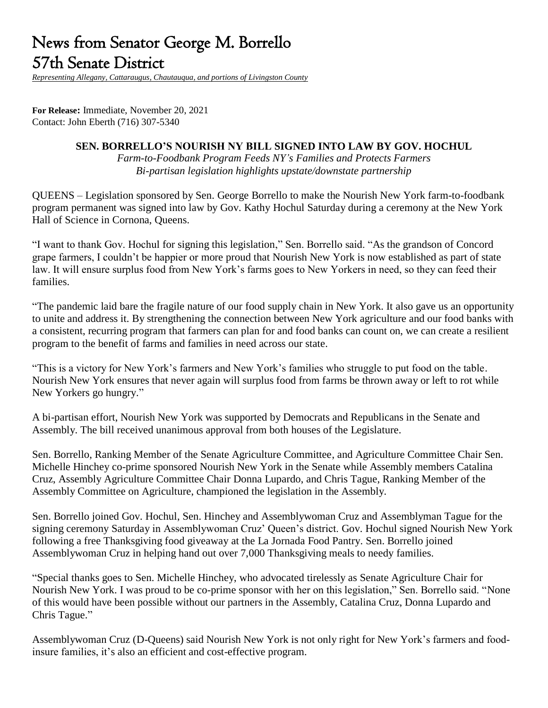# News from Senator George M. Borrello 57th Senate District

*Representing Allegany, Cattaraugus, Chautauqua, and portions of Livingston County*

**For Release:** Immediate, November 20, 2021 Contact: John Eberth (716) 307-5340

#### **SEN. BORRELLO'S NOURISH NY BILL SIGNED INTO LAW BY GOV. HOCHUL**

*Farm-to-Foodbank Program Feeds NY's Families and Protects Farmers Bi-partisan legislation highlights upstate/downstate partnership*

QUEENS – Legislation sponsored by Sen. George Borrello to make the Nourish New York farm-to-foodbank program permanent was signed into law by Gov. Kathy Hochul Saturday during a ceremony at the New York Hall of Science in Cornona, Queens.

"I want to thank Gov. Hochul for signing this legislation," Sen. Borrello said. "As the grandson of Concord grape farmers, I couldn't be happier or more proud that Nourish New York is now established as part of state law. It will ensure surplus food from New York's farms goes to New Yorkers in need, so they can feed their families.

"The pandemic laid bare the fragile nature of our food supply chain in New York. It also gave us an opportunity to unite and address it. By strengthening the connection between New York agriculture and our food banks with a consistent, recurring program that farmers can plan for and food banks can count on, we can create a resilient program to the benefit of farms and families in need across our state.

"This is a victory for New York's farmers and New York's families who struggle to put food on the table. Nourish New York ensures that never again will surplus food from farms be thrown away or left to rot while New Yorkers go hungry."

A bi-partisan effort, Nourish New York was supported by Democrats and Republicans in the Senate and Assembly. The bill received unanimous approval from both houses of the Legislature.

Sen. Borrello, Ranking Member of the Senate Agriculture Committee, and Agriculture Committee Chair Sen. Michelle Hinchey co-prime sponsored Nourish New York in the Senate while Assembly members Catalina Cruz, Assembly Agriculture Committee Chair Donna Lupardo, and Chris Tague, Ranking Member of the Assembly Committee on Agriculture, championed the legislation in the Assembly.

Sen. Borrello joined Gov. Hochul, Sen. Hinchey and Assemblywoman Cruz and Assemblyman Tague for the signing ceremony Saturday in Assemblywoman Cruz' Queen's district. Gov. Hochul signed Nourish New York following a free Thanksgiving food giveaway at the La Jornada Food Pantry. Sen. Borrello joined Assemblywoman Cruz in helping hand out over 7,000 Thanksgiving meals to needy families.

"Special thanks goes to Sen. Michelle Hinchey, who advocated tirelessly as Senate Agriculture Chair for Nourish New York. I was proud to be co-prime sponsor with her on this legislation," Sen. Borrello said. "None of this would have been possible without our partners in the Assembly, Catalina Cruz, Donna Lupardo and Chris Tague."

Assemblywoman Cruz (D-Queens) said Nourish New York is not only right for New York's farmers and foodinsure families, it's also an efficient and cost-effective program.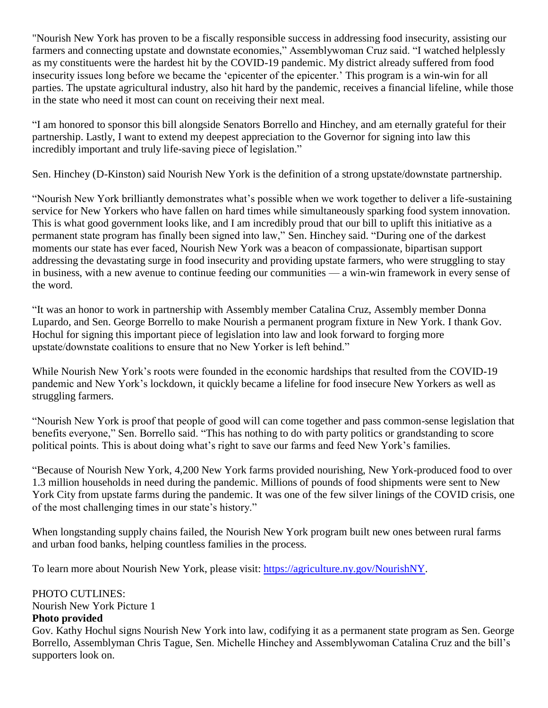"Nourish New York has proven to be a fiscally responsible success in addressing food insecurity, assisting our farmers and connecting upstate and downstate economies," Assemblywoman Cruz said. "I watched helplessly as my constituents were the hardest hit by the COVID-19 pandemic. My district already suffered from food insecurity issues long before we became the 'epicenter of the epicenter.' This program is a win-win for all parties. The upstate agricultural industry, also hit hard by the pandemic, receives a financial lifeline, while those in the state who need it most can count on receiving their next meal.

"I am honored to sponsor this bill alongside Senators Borrello and Hinchey, and am eternally grateful for their partnership. Lastly, I want to extend my deepest appreciation to the Governor for signing into law this incredibly important and truly life-saving piece of legislation."

Sen. Hinchey (D-Kinston) said Nourish New York is the definition of a strong upstate/downstate partnership.

"Nourish New York brilliantly demonstrates what's possible when we work together to deliver a life-sustaining service for New Yorkers who have fallen on hard times while simultaneously sparking food system innovation. This is what good government looks like, and I am incredibly proud that our bill to uplift this initiative as a permanent state program has finally been signed into law," Sen. Hinchey said. "During one of the darkest moments our state has ever faced, Nourish New York was a beacon of compassionate, bipartisan support addressing the devastating surge in food insecurity and providing upstate farmers, who were struggling to stay in business, with a new avenue to continue feeding our communities — a win-win framework in every sense of the word.

"It was an honor to work in partnership with Assembly member Catalina Cruz, Assembly member Donna Lupardo, and Sen. George Borrello to make Nourish a permanent program fixture in New York. I thank Gov. Hochul for signing this important piece of legislation into law and look forward to forging more upstate/downstate coalitions to ensure that no New Yorker is left behind."

While Nourish New York's roots were founded in the economic hardships that resulted from the COVID-19 pandemic and New York's lockdown, it quickly became a lifeline for food insecure New Yorkers as well as struggling farmers.

"Nourish New York is proof that people of good will can come together and pass common-sense legislation that benefits everyone," Sen. Borrello said. "This has nothing to do with party politics or grandstanding to score political points. This is about doing what's right to save our farms and feed New York's families.

"Because of Nourish New York, 4,200 New York farms provided nourishing, New York-produced food to over 1.3 million households in need during the pandemic. Millions of pounds of food shipments were sent to New York City from upstate farms during the pandemic. It was one of the few silver linings of the COVID crisis, one of the most challenging times in our state's history."

When longstanding supply chains failed, the Nourish New York program built new ones between rural farms and urban food banks, helping countless families in the process.

To learn more about Nourish New York, please visit: [https://agriculture.ny.gov/NourishNY.](https://agriculture.ny.gov/NourishNY)

## PHOTO CUTLINES:

Nourish New York Picture 1

## **Photo provided**

Gov. Kathy Hochul signs Nourish New York into law, codifying it as a permanent state program as Sen. George Borrello, Assemblyman Chris Tague, Sen. Michelle Hinchey and Assemblywoman Catalina Cruz and the bill's supporters look on.